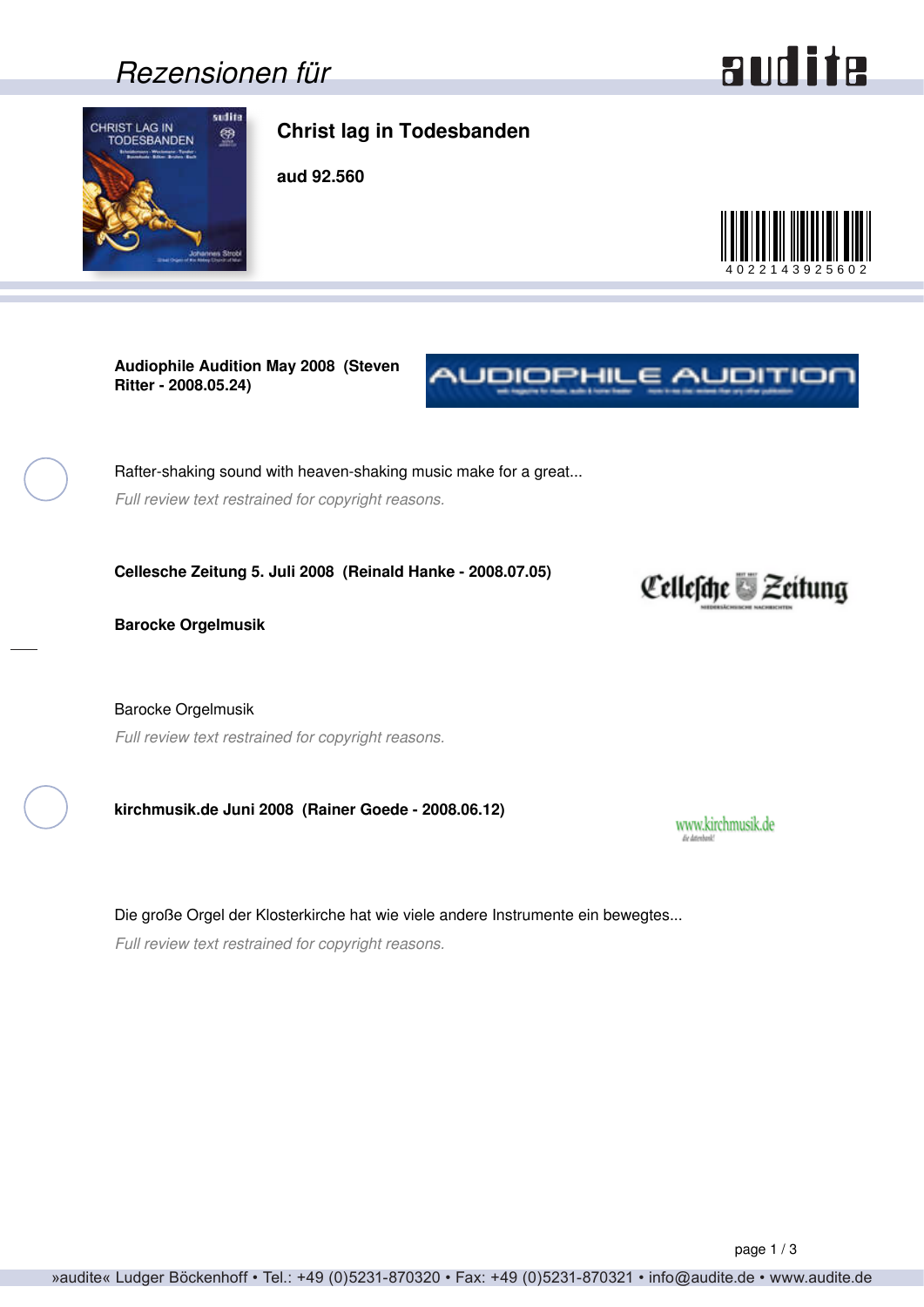### *Rezensionen für*

# audite

<span id="page-0-0"></span>

#### **Christ lag in Todesbanden**

**aud 92.560**



**Audiophile Audition May 2008 (Steven Ritter - 2008.05.24)**

Rafter-shaking sound with heaven-shaking music make for a great... *Full review text restrained for copyright reasons.*

**Cellesche Zeitung 5. Juli 2008 (Reinald Hanke - 2008.07.05)**

**Barocke Orgelmusik**

Barocke Orgelmusik *Full review text restrained for copyright reasons.*

**kirchmusik.de Juni 2008 (Rainer Goede - 2008.06.12)**

Die große Orgel der Klosterkirche hat wie viele andere Instrumente ein bewegtes... *Full review text restrained for copyright reasons.*



NUDIOPHILE AUDITIOI

www.kirchmusik.de Es detech

page 1 / 3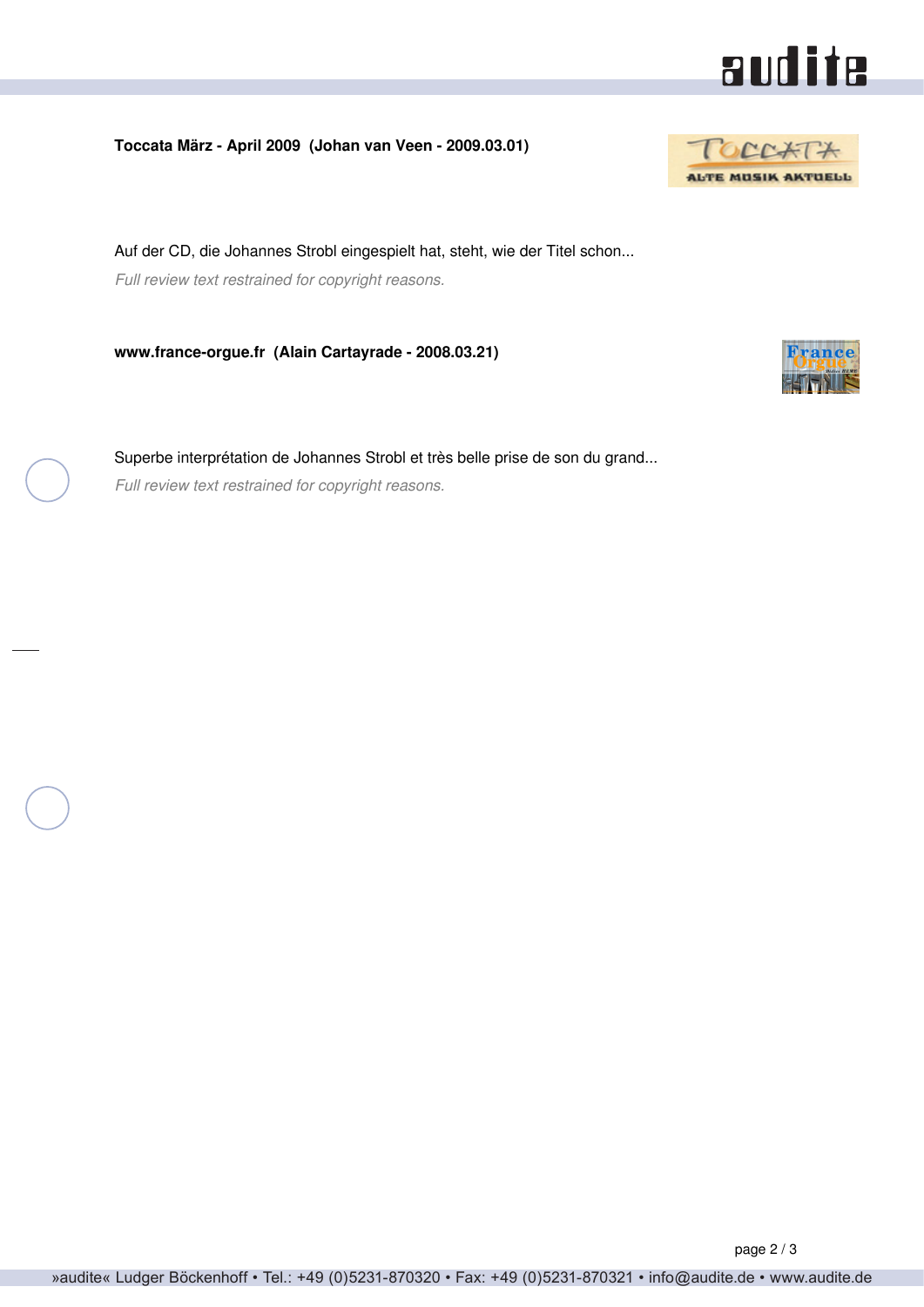

<span id="page-1-0"></span>**Toccata März - April 2009 (Johan van Veen - 2009.03.01)**



Auf der CD, die Johannes Strobl eingespielt hat, steht, wie der Titel schon... *Full review text restrained for copyright reasons.*

**www.france-orgue.fr (Alain Cartayrade - 2008.03.21)**

Superbe interprétation de Johannes Strobl et très belle prise de son du grand... *Full review text restrained for copyright reasons.*

**Erance**